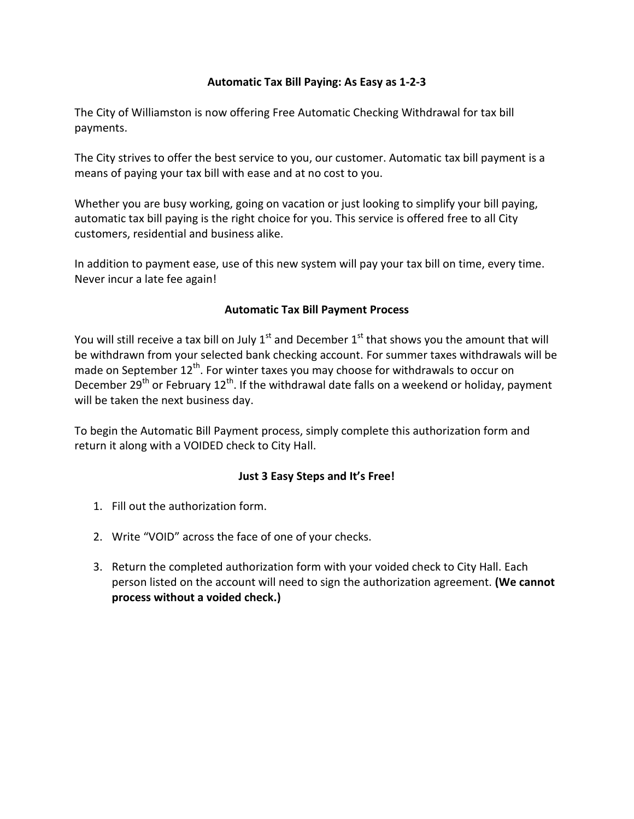## **Automatic Tax Bill Paying: As Easy as 1-2-3**

The City of Williamston is now offering Free Automatic Checking Withdrawal for tax bill payments.

The City strives to offer the best service to you, our customer. Automatic tax bill payment is a means of paying your tax bill with ease and at no cost to you.

Whether you are busy working, going on vacation or just looking to simplify your bill paying, automatic tax bill paying is the right choice for you. This service is offered free to all City customers, residential and business alike.

In addition to payment ease, use of this new system will pay your tax bill on time, every time. Never incur a late fee again!

## **Automatic Tax Bill Payment Process**

You will still receive a tax bill on July  $1<sup>st</sup>$  and December  $1<sup>st</sup>$  that shows you the amount that will be withdrawn from your selected bank checking account. For summer taxes withdrawals will be made on September  $12<sup>th</sup>$ . For winter taxes you may choose for withdrawals to occur on December 29<sup>th</sup> or February 12<sup>th</sup>. If the withdrawal date falls on a weekend or holiday, payment will be taken the next business day.

To begin the Automatic Bill Payment process, simply complete this authorization form and return it along with a VOIDED check to City Hall.

## **Just 3 Easy Steps and It's Free!**

- 1. Fill out the authorization form.
- 2. Write "VOID" across the face of one of your checks.
- 3. Return the completed authorization form with your voided check to City Hall. Each person listed on the account will need to sign the authorization agreement. **(We cannot process without a voided check.)**